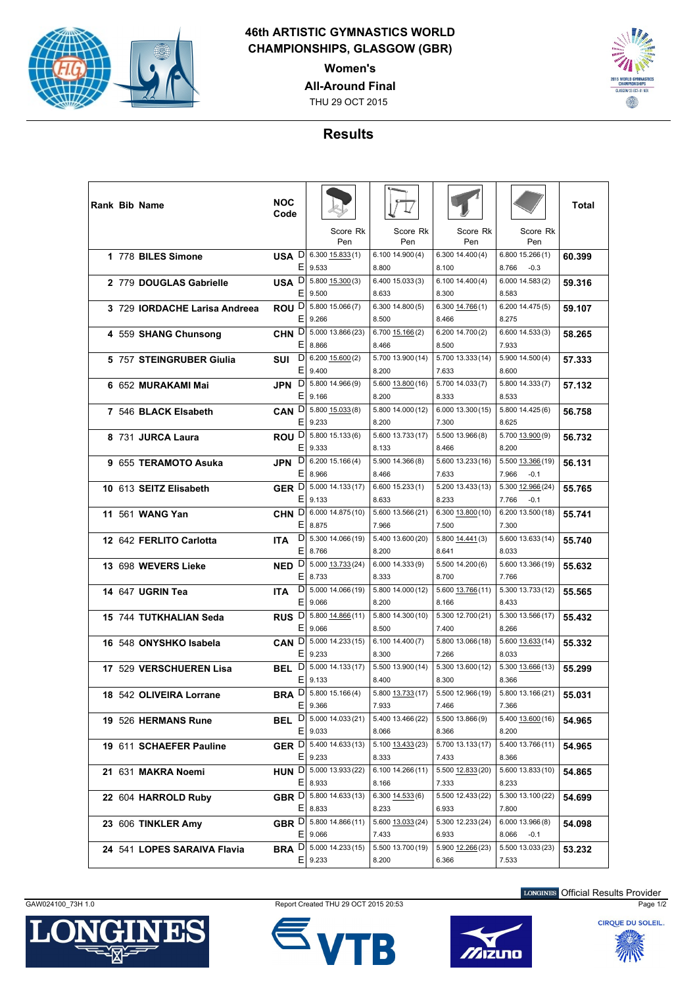

## **46th ARTISTIC GYMNASTICS WORLD CHAMPIONSHIPS, GLASGOW (GBR)**

**Women's**

**All-Around Final**

THU 29 OCT 2015



## **Results**

| <b>Rank Bib Name</b>          | NOC<br>Code           |                                        |                            |                            |                                     | Total  |
|-------------------------------|-----------------------|----------------------------------------|----------------------------|----------------------------|-------------------------------------|--------|
|                               |                       | Score Rk<br>Pen                        | Score Rk<br>Pen            | Score Rk<br>Pen            | Score Rk<br>Pen                     |        |
| 1 778 BILES Simone            | USA D<br>Е            | $6.300$ $15.833(1)$<br>9.533           | 6.100 14.900 (4)<br>8.800  | 6.300 14.400 (4)<br>8.100  | 6.800 15.266 (1)<br>8.766<br>$-0.3$ | 60.399 |
| 2 779 DOUGLAS Gabrielle       | USA <sup>D</sup>      | 5.800 15.300 (3)                       | 6.400 15.033 (3)           | 6.100 14.400 (4)           | 6.000 14.583(2)                     | 59.316 |
|                               | Е                     | 9.500                                  | 8.633                      | 8.300                      | 8.583                               |        |
| 3 729 IORDACHE Larisa Andreea | ROU <sup>D</sup>      | 5.800 15.066 (7)                       | 6.30014.800(5)             | 6.300 14.766 (1)           | 6.200 14.475(5)                     | 59.107 |
|                               | Е                     | 9.266                                  | 8.500                      | 8.466                      | 8.275                               |        |
| 4 559 SHANG Chunsong          | CHN <sub>D</sub>      | 5.000 13.866 (23)                      | 6.700 15.166 (2)           | 6.200 14.700 (2)           | 6.600 14.533 (3)                    | 58.265 |
|                               | Ε                     | 8.866                                  | 8.466                      | 8.500                      | 7.933                               |        |
| 5 757 STEINGRUBER Giulia      | D<br>SUI<br>Е         | $6.200$ $15.600(2)$<br>9.400           | 5.700 13.900 (14)<br>8.200 | 5.700 13.333 (14)<br>7.633 | 5.900 14.500 (4)<br>8.600           | 57.333 |
| 6 652 MURAKAMI Mai            |                       | JPN D 5.800 14.966 (9)                 | 5.600 13.800 (16)          | 5.700 14.033 (7)           | 5.800 14.333 (7)                    | 57.132 |
|                               | Е                     | 9.166                                  | 8.200                      | 8.333                      | 8.533                               |        |
| 7 546 BLACK Elsabeth          | CAN D                 | $5.800$ $15.033(8)$                    | 5.800 14.000 (12)          | 6.000 13.300 (15)          | 5.800 14.425 (6)                    | 56.758 |
|                               | Е                     | 9.233                                  | 8.200                      | 7.300                      | 8.625                               |        |
| 8 731 JURCA Laura             | ROU <sup>D</sup>      | 5.800 15.133 (6)                       | 5.600 13.733 (17)          | 5.500 13.966 (8)           | 5.700 13.900 (9)                    | 56.732 |
|                               | E.                    | 9.333                                  | 8.133                      | 8.466                      | 8.200                               |        |
| 9 655 TERAMOTO Asuka          | D<br>JPN              | 6.20015.166(4)                         | 5.900 14.366 (8)           | 5.600 13.233 (16)          | 5.500 13.366 (19)                   | 56.131 |
|                               | Ε                     | 8.966                                  | 8.466                      | 7.633                      | 7.966<br>$-0.1$                     |        |
| 10 613 SEITZ Elisabeth        | GER D                 | 5.000 14.133 (17)                      | 6.60015.233(1)             | 5.200 13.433 (13)          | 5.300 12.966 (24)                   | 55.765 |
|                               | Ε                     | 9.133                                  | 8.633                      | 8.233                      | 7.766<br>$-0.1$                     |        |
| 11 561 WANG Yan               | CHN <sub>D</sub><br>Е | 6.000 14.875 (10)<br>8.875             | 5.600 13.566 (21)<br>7.966 | 6.300 13.800 (10)<br>7.500 | 6.200 13.500 (18)<br>7.300          | 55.741 |
|                               | D                     | 5.300 14.066 (19)                      | 5.400 13.600 (20)          | 5.800 14.441 (3)           | 5.600 13.633 (14)                   |        |
| 12 642 FERLITO Carlotta       | <b>ITA</b><br>Е       | 8.766                                  | 8.200                      | 8.641                      | 8.033                               | 55.740 |
| 13 698 WEVERS Lieke           | NED <sub>D</sub>      | 5.000 13.733 (24)                      | 6.000 14.333 (9)           | 5.500 14.200 (6)           | 5.600 13.366 (19)                   | 55.632 |
|                               | Е                     | 8.733                                  | 8.333                      | 8.700                      | 7.766                               |        |
| 14 647 UGRIN Tea              | D<br><b>ITA</b>       | 5.000 14.066 (19)                      | 5.800 14.000 (12)          | 5.600 13.766 (11)          | 5.300 13.733 (12)                   | 55.565 |
|                               | E.                    | 9.066                                  | 8.200                      | 8.166                      | 8.433                               |        |
| 15 744 TUTKHALIAN Seda        | RUS <sup>D</sup>      | 5.800 14.866 (11)                      | 5.800 14.300 (10)          | 5.300 12.700 (21)          | 5.300 13.566 (17)                   | 55.432 |
|                               | Е                     | 9.066                                  | 8.500                      | 7.400                      | 8.266                               |        |
| 16 548 ONYSHKO Isabela        | CAN <sup>D</sup>      | 5.000 14.233 (15)                      | 6.100 14.400 (7)           | 5.800 13.066 (18)          | 5.600 13.633 (14)                   | 55.332 |
|                               | Ε                     | 9.233                                  | 8.300                      | 7.266                      | 8.033                               |        |
| 17 529 VERSCHUEREN Lisa       | D<br>BEL<br>Е         | 5.000 14.133 (17)<br>9.133             | 5.500 13.900 (14)          | 5.300 13.600 (12)<br>8.300 | 5.300 13.666 (13)<br>8.366          | 55.299 |
|                               |                       | <b>BRA</b> D 5.800 15.166 (4)          | 8.400<br>5.800 13.733 (17) | 5.500 12.966 (19)          | 5.800 13.166 (21)                   |        |
| 18 542 OLIVEIRA Lorrane       |                       | E 9.366                                | 7.933                      | 7.466                      | 7.366                               | 55.031 |
| 19 526 HERMANS Rune           |                       | <b>BEL</b> $D  5.000 14.033(21)$       | 5.400 13.466 (22)          | 5.500 13.866 (9)           | 5.400 13.600 (16)                   | 54.965 |
|                               |                       | $E$ 9.033                              | 8.066                      | 8.366                      | 8.200                               |        |
| 19 611 SCHAEFER Pauline       |                       | GER D 5.400 14.633 (13)                | 5.100 13.433 (23)          | 5.700 13.133 (17)          | 5.400 13.766 (11)                   | 54.965 |
|                               |                       | $E$ 9.233                              | 8.333                      | 7.433                      | 8.366                               |        |
| 21 631 MAKRA Noemi            |                       | HUN D 5.000 13.933 (22)                | 6.100 14.266 (11)          | 5.500 12.833 (20)          | 5.600 13.833 (10)                   | 54.865 |
|                               |                       | $E$   8.933                            | 8.166                      | 7.333                      | 8.233                               |        |
| 22 604 HARROLD Ruby           |                       | GBR D 5.800 14.633 (13)                | 6.300 14.533 (6)           | 5.500 12.433 (22)          | 5.300 13.100 (22)                   | 54.699 |
|                               |                       | $E$   8.833                            | 8.233                      | 6.933                      | 7.800                               |        |
| 23 606 TINKLER Amy            |                       | GBR D 5.800 14.866 (11)<br>$E$   9.066 | 5.600 13.033 (24)<br>7.433 | 5.300 12.233 (24)<br>6.933 | 6.000 13.966 (8)<br>8.066<br>$-0.1$ | 54.098 |
|                               |                       | <b>BRA</b> D 5.000 14.233 (15)         | 5.500 13.700 (19)          | 5.900 12.266 (23)          | 5.500 13.033 (23)                   |        |
| 24 541 LOPES SARAIVA Flavia   |                       | $E$   9.233                            | 8.200                      | 6.366                      | 7.533                               | 53.232 |









LONGINES Official Results Provider